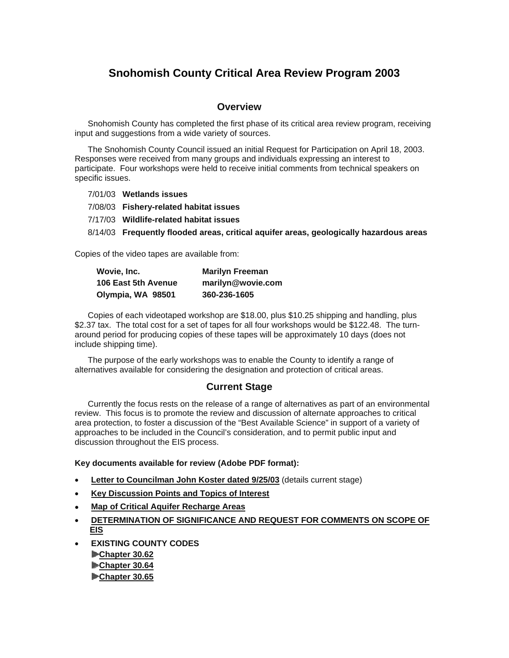# **Snohomish County Critical Area Review Program 2003**

#### **Overview**

Snohomish County has completed the first phase of its critical area review program, receiving input and suggestions from a wide variety of sources.

The Snohomish County Council issued an initial Request for Participation on April 18, 2003. Responses were received from many groups and individuals expressing an interest to participate. Four workshops were held to receive initial comments from technical speakers on specific issues.

7/01/03 **Wetlands issues**

7/08/03 **Fishery-related habitat issues**

7/17/03 **Wildlife-related habitat issues**

8/14/03 **Frequently flooded areas, critical aquifer areas, geologically hazardous areas**

Copies of the video tapes are available from:

| Wovie, Inc.         | <b>Marilyn Freeman</b> |
|---------------------|------------------------|
| 106 East 5th Avenue | marilyn@wovie.com      |
| Olympia, WA 98501   | 360-236-1605           |

Copies of each videotaped workshop are \$18.00, plus \$10.25 shipping and handling, plus \$2.37 tax. The total cost for a set of tapes for all four workshops would be \$122.48. The turnaround period for producing copies of these tapes will be approximately 10 days (does not include shipping time).

The purpose of the early workshops was to enable the County to identify a range of alternatives available for considering the designation and protection of critical areas.

### **Current Stage**

Currently the focus rests on the release of a range of alternatives as part of an environmental review. This focus is to promote the review and discussion of alternate approaches to critical area protection, to foster a discussion of the "Best Available Science" in support of a variety of approaches to be included in the Council's consideration, and to permit public input and discussion throughout the EIS process.

#### **Key documents available for review (Adobe PDF format):**

- **Letter to Councilman John Koster dated 9/25/03** (details current stage)
- **Key Discussion Points and Topics of Interest**
- **Map of Critical Aquifer Recharge Areas**
- **DETERMINATION OF SIGNIFICANCE AND REQUEST FOR COMMENTS ON SCOPE OF EIS**
- **EXISTING COUNTY CODES Chapter 30.62 Chapter 30.64 Chapter 30.65**